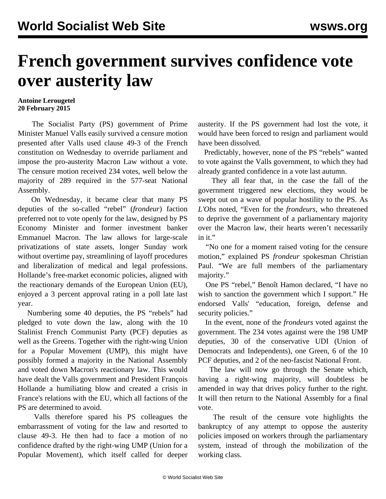## **French government survives confidence vote over austerity law**

## **Antoine Lerougetel 20 February 2015**

 The Socialist Party (PS) government of Prime Minister Manuel Valls easily survived a censure motion presented after Valls used clause 49-3 of the French constitution on Wednesday to override parliament and impose the pro-austerity Macron Law without a vote. The censure motion received 234 votes, well below the majority of 289 required in the 577-seat National Assembly.

 On Wednesday, it became clear that many PS deputies of the so-called "rebel" (*frondeur*) faction preferred not to vote openly for the law, designed by PS Economy Minister and former investment banker Emmanuel Macron. The law allows for large-scale privatizations of state assets, longer Sunday work without overtime pay, streamlining of layoff procedures and liberalization of medical and legal professions. Hollande's free-market economic policies, aligned with the reactionary demands of the European Union (EU), enjoyed a 3 percent approval rating in a poll late last year.

 Numbering some 40 deputies, the PS "rebels" had pledged to vote down the law, along with the 10 Stalinist French Communist Party (PCF) deputies as well as the Greens. Together with the right-wing Union for a Popular Movement (UMP), this might have possibly formed a majority in the National Assembly and voted down Macron's reactionary law. This would have dealt the Valls government and President François Hollande a humiliating blow and created a crisis in France's relations with the EU, which all factions of the PS are determined to avoid.

 Valls therefore spared his PS colleagues the embarrassment of voting for the law and resorted to clause 49-3. He then had to face a motion of no confidence drafted by the right-wing UMP (Union for a Popular Movement), which itself called for deeper austerity. If the PS government had lost the vote, it would have been forced to resign and parliament would have been dissolved.

 Predictably, however, none of the PS "rebels" wanted to vote against the Valls government, to which they had already granted confidence in a vote last autumn.

 They all fear that, in the case the fall of the government triggered new elections, they would be swept out on a wave of popular hostility to the PS. As *L'Obs* noted, "Even for the *frondeurs,* who threatened to deprive the government of a parliamentary majority over the Macron law, their hearts weren't necessarily in it."

 "No one for a moment raised voting for the censure motion," explained PS *frondeur* spokesman Christian Paul. "We are full members of the parliamentary majority."

 One PS "rebel," Benoît Hamon declared, "I have no wish to sanction the government which I support." He endorsed Valls' "education, foreign, defense and security policies."

 In the event, none of the *frondeurs* voted against the government. The 234 votes against were the 198 UMP deputies, 30 of the conservative UDI (Union of Democrats and Independents), one Green, 6 of the 10 PCF deputies, and 2 of the neo-fascist National Front.

 The law will now go through the Senate which, having a right-wing majority, will doubtless be amended in way that drives policy further to the right. It will then return to the National Assembly for a final vote.

 The result of the censure vote highlights the bankruptcy of any attempt to oppose the austerity policies imposed on workers through the parliamentary system, instead of through the mobilization of the working class.